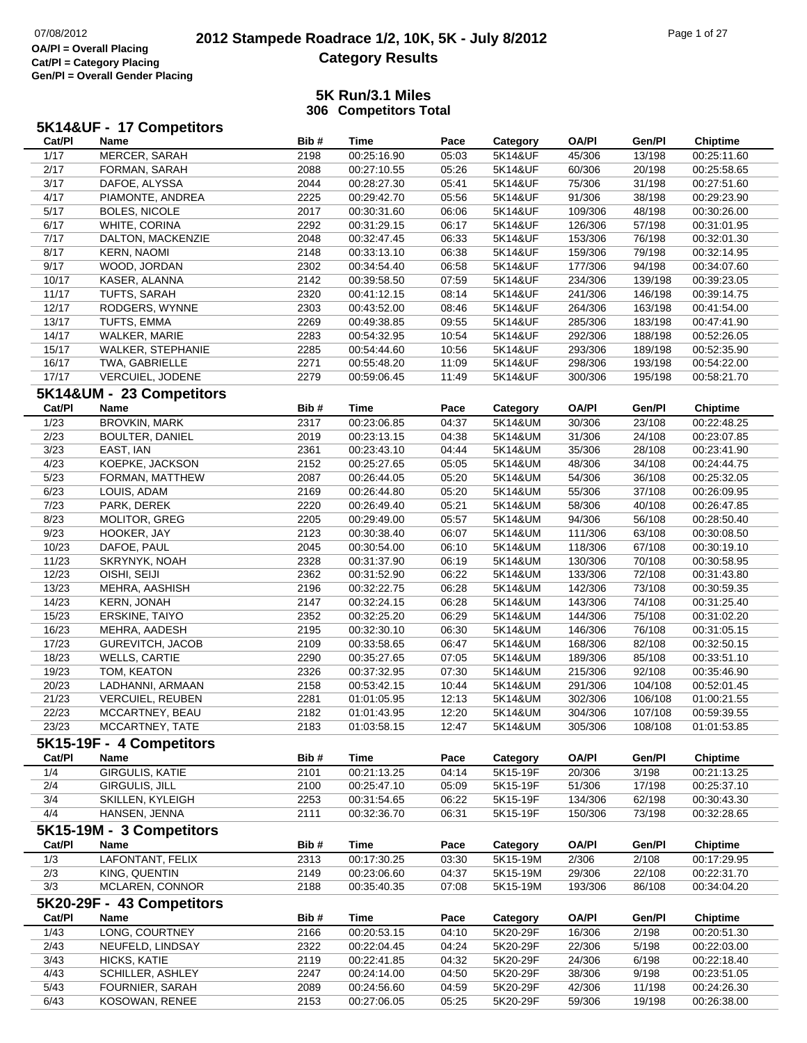## **2012 Stampede Roadrace 1/2, 10K, 5K - July 8/2012** 07/08/2012 Page 1 of 27 **Category Results**

|        | 5K14&UF - 17 Competitors  |      |             |       |          |              |         |                 |
|--------|---------------------------|------|-------------|-------|----------|--------------|---------|-----------------|
| Cat/Pl | Name                      | Bib# | <b>Time</b> | Pace  | Category | <b>OA/PI</b> | Gen/Pl  | <b>Chiptime</b> |
| 1/17   | MERCER, SARAH             | 2198 | 00:25:16.90 | 05:03 | 5K14&UF  | 45/306       | 13/198  | 00:25:11.60     |
| 2/17   | FORMAN, SARAH             | 2088 | 00:27:10.55 | 05:26 | 5K14&UF  | 60/306       | 20/198  | 00:25:58.65     |
| 3/17   | DAFOE, ALYSSA             | 2044 | 00:28:27.30 | 05:41 | 5K14&UF  | 75/306       | 31/198  | 00:27:51.60     |
| 4/17   | PIAMONTE, ANDREA          | 2225 | 00:29:42.70 | 05:56 | 5K14&UF  | 91/306       | 38/198  | 00:29:23.90     |
| 5/17   | <b>BOLES, NICOLE</b>      | 2017 | 00:30:31.60 | 06:06 | 5K14&UF  | 109/306      | 48/198  | 00:30:26.00     |
| 6/17   | WHITE, CORINA             | 2292 | 00:31:29.15 | 06:17 | 5K14&UF  | 126/306      | 57/198  | 00:31:01.95     |
| 7/17   | DALTON, MACKENZIE         | 2048 | 00:32:47.45 | 06:33 | 5K14&UF  | 153/306      | 76/198  | 00:32:01.30     |
| 8/17   | <b>KERN, NAOMI</b>        | 2148 | 00:33:13.10 | 06:38 | 5K14&UF  | 159/306      | 79/198  | 00:32:14.95     |
| 9/17   | WOOD, JORDAN              | 2302 | 00:34:54.40 | 06:58 | 5K14&UF  | 177/306      | 94/198  | 00:34:07.60     |
| 10/17  | KASER, ALANNA             | 2142 | 00:39:58.50 | 07:59 | 5K14&UF  | 234/306      | 139/198 | 00:39:23.05     |
| 11/17  | TUFTS, SARAH              | 2320 | 00:41:12.15 | 08:14 | 5K14&UF  | 241/306      | 146/198 | 00:39:14.75     |
| 12/17  | RODGERS, WYNNE            | 2303 | 00:43:52.00 | 08:46 | 5K14&UF  | 264/306      | 163/198 | 00:41:54.00     |
| 13/17  | TUFTS, EMMA               | 2269 | 00:49:38.85 | 09:55 | 5K14&UF  | 285/306      | 183/198 | 00:47:41.90     |
| 14/17  | WALKER, MARIE             | 2283 | 00:54:32.95 | 10:54 | 5K14&UF  | 292/306      | 188/198 | 00:52:26.05     |
| 15/17  | <b>WALKER, STEPHANIE</b>  | 2285 | 00:54:44.60 | 10:56 | 5K14&UF  | 293/306      | 189/198 | 00:52:35.90     |
| 16/17  | TWA, GABRIELLE            | 2271 | 00:55:48.20 | 11:09 | 5K14&UF  | 298/306      | 193/198 | 00:54:22.00     |
| 17/17  | VERCUIEL, JODENE          | 2279 | 00:59:06.45 | 11:49 | 5K14&UF  | 300/306      | 195/198 | 00:58:21.70     |
|        | 5K14&UM - 23 Competitors  |      |             |       |          |              |         |                 |
| Cat/PI | Name                      | Bib# | Time        | Pace  | Category | <b>OA/PI</b> | Gen/Pl  | <b>Chiptime</b> |
| 1/23   | <b>BROVKIN, MARK</b>      | 2317 | 00:23:06.85 | 04:37 | 5K14&UM  | 30/306       | 23/108  | 00:22:48.25     |
| 2/23   | <b>BOULTER, DANIEL</b>    | 2019 | 00:23:13.15 | 04:38 | 5K14&UM  | 31/306       | 24/108  | 00:23:07.85     |
| 3/23   | EAST, IAN                 | 2361 | 00:23:43.10 | 04:44 | 5K14&UM  | 35/306       | 28/108  | 00:23:41.90     |
| 4/23   | KOEPKE, JACKSON           | 2152 | 00:25:27.65 | 05:05 | 5K14&UM  | 48/306       | 34/108  | 00:24:44.75     |
| 5/23   | FORMAN, MATTHEW           | 2087 | 00:26:44.05 | 05:20 | 5K14&UM  | 54/306       | 36/108  | 00:25:32.05     |
| 6/23   | LOUIS, ADAM               | 2169 | 00:26:44.80 | 05:20 | 5K14&UM  | 55/306       | 37/108  | 00:26:09.95     |
| 7/23   | PARK, DEREK               | 2220 | 00:26:49.40 | 05:21 | 5K14&UM  | 58/306       | 40/108  | 00:26:47.85     |
| 8/23   | MOLITOR, GREG             | 2205 | 00:29:49.00 | 05:57 | 5K14&UM  | 94/306       | 56/108  | 00:28:50.40     |
| 9/23   | HOOKER, JAY               | 2123 | 00:30:38.40 | 06:07 | 5K14&UM  | 111/306      | 63/108  | 00:30:08.50     |
| 10/23  | DAFOE, PAUL               | 2045 | 00:30:54.00 | 06:10 | 5K14&UM  | 118/306      | 67/108  | 00:30:19.10     |
| 11/23  | SKRYNYK, NOAH             | 2328 | 00:31:37.90 | 06:19 | 5K14&UM  | 130/306      | 70/108  | 00:30:58.95     |
| 12/23  | OISHI, SEIJI              | 2362 | 00:31:52.90 | 06:22 | 5K14&UM  | 133/306      | 72/108  | 00:31:43.80     |
| 13/23  | MEHRA, AASHISH            | 2196 | 00:32:22.75 | 06:28 | 5K14&UM  | 142/306      | 73/108  | 00:30:59.35     |
| 14/23  | <b>KERN, JONAH</b>        | 2147 | 00:32:24.15 | 06:28 | 5K14&UM  | 143/306      | 74/108  | 00:31:25.40     |
| 15/23  | ERSKINE, TAIYO            | 2352 | 00:32:25.20 | 06:29 | 5K14&UM  | 144/306      | 75/108  | 00:31:02.20     |
| 16/23  | MEHRA, AADESH             | 2195 | 00:32:30.10 | 06:30 | 5K14&UM  | 146/306      | 76/108  | 00:31:05.15     |
| 17/23  | <b>GUREVITCH, JACOB</b>   | 2109 | 00:33:58.65 | 06:47 | 5K14&UM  | 168/306      | 82/108  | 00:32:50.15     |
| 18/23  | <b>WELLS, CARTIE</b>      | 2290 | 00:35:27.65 | 07:05 | 5K14&UM  | 189/306      | 85/108  | 00:33:51.10     |
| 19/23  | TOM, KEATON               | 2326 | 00:37:32.95 | 07:30 | 5K14&UM  | 215/306      | 92/108  | 00:35:46.90     |
| 20/23  | LADHANNI, ARMAAN          | 2158 | 00:53:42.15 | 10:44 | 5K14&UM  | 291/306      | 104/108 | 00:52:01.45     |
| 21/23  | <b>VERCUIEL, REUBEN</b>   | 2281 | 01:01:05.95 | 12:13 | 5K14&UM  | 302/306      | 106/108 | 01:00:21.55     |
| 22/23  | MCCARTNEY, BEAU           | 2182 | 01:01:43.95 | 12:20 | 5K14&UM  | 304/306      | 107/108 | 00:59:39.55     |
| 23/23  | MCCARTNEY, TATE           | 2183 | 01:03:58.15 | 12:47 | 5K14&UM  | 305/306      | 108/108 | 01:01:53.85     |
|        | 5K15-19F - 4 Competitors  |      |             |       |          |              |         |                 |
| Cat/PI | Name                      | Bib# | <b>Time</b> | Pace  | Category | <b>OA/PI</b> | Gen/Pl  | <b>Chiptime</b> |
| 1/4    | <b>GIRGULIS, KATIE</b>    | 2101 | 00:21:13.25 | 04:14 | 5K15-19F | 20/306       | 3/198   | 00:21:13.25     |
| 2/4    | GIRGULIS, JILL            | 2100 | 00:25:47.10 | 05:09 | 5K15-19F | 51/306       | 17/198  | 00:25:37.10     |
| 3/4    | SKILLEN, KYLEIGH          | 2253 | 00:31:54.65 | 06:22 | 5K15-19F | 134/306      | 62/198  | 00:30:43.30     |
| 4/4    | HANSEN, JENNA             | 2111 | 00:32:36.70 | 06:31 | 5K15-19F | 150/306      | 73/198  | 00:32:28.65     |
|        | 5K15-19M - 3 Competitors  |      |             |       |          |              |         |                 |
| Cat/PI | Name                      | Bib# | <b>Time</b> | Pace  | Category | <b>OA/PI</b> | Gen/Pl  | <b>Chiptime</b> |
| 1/3    | LAFONTANT, FELIX          | 2313 | 00:17:30.25 | 03:30 | 5K15-19M | 2/306        | 2/108   | 00:17:29.95     |
| 2/3    | KING, QUENTIN             | 2149 | 00:23:06.60 | 04:37 | 5K15-19M | 29/306       | 22/108  | 00:22:31.70     |
| 3/3    | MCLAREN, CONNOR           | 2188 | 00:35:40.35 | 07:08 | 5K15-19M | 193/306      | 86/108  | 00:34:04.20     |
|        | 5K20-29F - 43 Competitors |      |             |       |          |              |         |                 |
| Cat/PI | Name                      | Bib# | <b>Time</b> | Pace  | Category | <b>OA/PI</b> | Gen/Pl  | Chiptime        |
| 1/43   | LONG, COURTNEY            | 2166 | 00:20:53.15 | 04:10 | 5K20-29F | 16/306       | 2/198   | 00:20:51.30     |
| 2/43   | NEUFELD, LINDSAY          | 2322 | 00:22:04.45 | 04:24 | 5K20-29F | 22/306       | 5/198   | 00:22:03.00     |
| 3/43   | HICKS, KATIE              | 2119 | 00:22:41.85 | 04:32 | 5K20-29F | 24/306       | 6/198   | 00:22:18.40     |
| 4/43   | <b>SCHILLER, ASHLEY</b>   | 2247 | 00:24:14.00 | 04:50 | 5K20-29F | 38/306       | 9/198   | 00:23:51.05     |
| 5/43   | FOURNIER, SARAH           | 2089 | 00:24:56.60 | 04:59 | 5K20-29F | 42/306       | 11/198  | 00:24:26.30     |
| 6/43   | KOSOWAN, RENEE            | 2153 | 00:27:06.05 | 05:25 | 5K20-29F | 59/306       | 19/198  | 00:26:38.00     |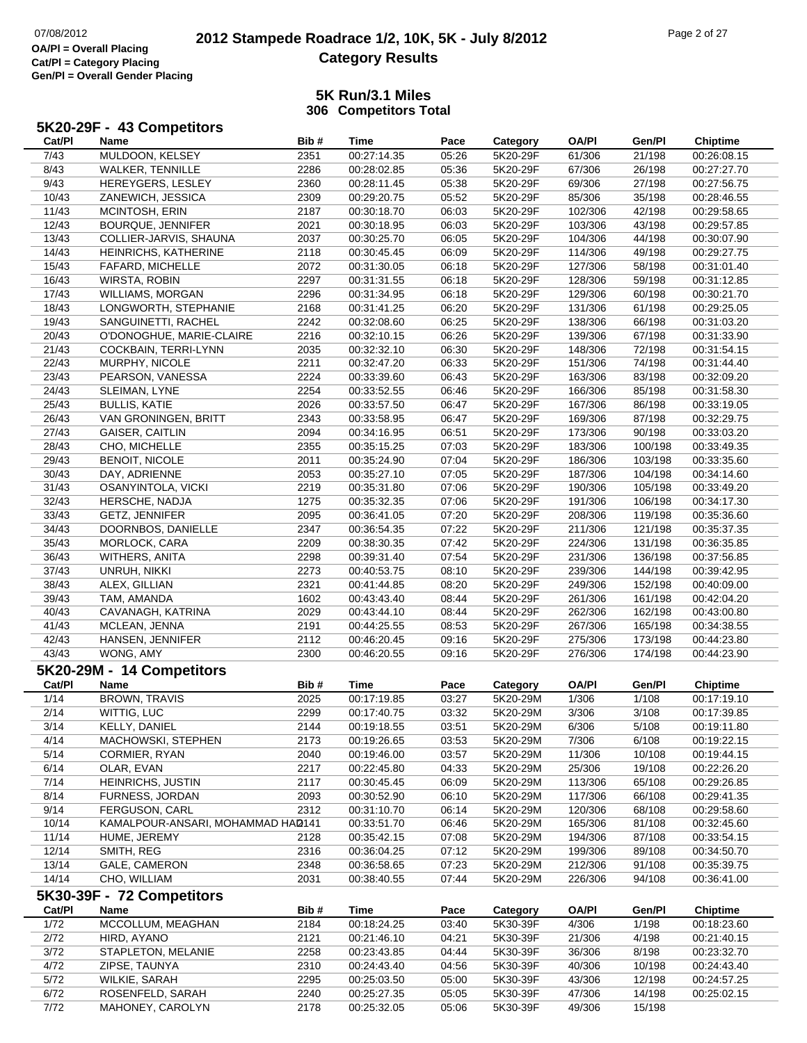7/72

# **2012 Stampede Roadrace 1/2, 10K, 5K - July 8/2012** 07/08/2012 Page 2 of 27 **Category Results**

### **5K Run/3.1 Miles306 Competitors Total**

| Cat/PI         | 5K20-29F - 43 Competitors<br>Name                   | Bib#         | <b>Time</b>                | Pace          | Category             | <b>OA/PI</b>       | Gen/Pl          | <b>Chiptime</b>                |
|----------------|-----------------------------------------------------|--------------|----------------------------|---------------|----------------------|--------------------|-----------------|--------------------------------|
| 7/43           | MULDOON, KELSEY                                     | 2351         | 00:27:14.35                | 05:26         | 5K20-29F             | 61/306             | 21/198          | 00:26:08.15                    |
| 8/43           | WALKER, TENNILLE                                    | 2286         | 00:28:02.85                | 05:36         | 5K20-29F             | 67/306             | 26/198          | 00:27:27.70                    |
| 9/43           | HEREYGERS, LESLEY                                   | 2360         | 00:28:11.45                | 05:38         | 5K20-29F             | 69/306             | 27/198          | 00:27:56.75                    |
| 10/43          | ZANEWICH, JESSICA                                   | 2309         | 00:29:20.75                | 05:52         | 5K20-29F             | 85/306             | 35/198          | 00:28:46.55                    |
| 11/43          | MCINTOSH, ERIN                                      | 2187         | 00:30:18.70                | 06:03         | 5K20-29F             | 102/306            | 42/198          | 00:29:58.65                    |
| 12/43          | <b>BOURQUE, JENNIFER</b>                            | 2021         | 00:30:18.95                | 06:03         | 5K20-29F             | 103/306            | 43/198          | 00:29:57.85                    |
| 13/43          | COLLIER-JARVIS, SHAUNA                              | 2037         | 00:30:25.70                | 06:05         | 5K20-29F             | 104/306            | 44/198          | 00:30:07.90                    |
| 14/43          | HEINRICHS, KATHERINE                                | 2118         | 00:30:45.45                | 06:09         | 5K20-29F             | 114/306            | 49/198          | 00:29:27.75                    |
| 15/43          | FAFARD, MICHELLE                                    | 2072         | 00:31:30.05                | 06:18         | 5K20-29F             | 127/306            | 58/198          | 00:31:01.40                    |
| 16/43          | WIRSTA, ROBIN                                       | 2297         | 00:31:31.55                | 06:18         | 5K20-29F             | 128/306            | 59/198          | 00:31:12.85                    |
| 17/43          | <b>WILLIAMS, MORGAN</b>                             | 2296         | 00:31:34.95                | 06:18         | 5K20-29F             | 129/306            | 60/198          | 00:30:21.70                    |
| 18/43          | LONGWORTH, STEPHANIE                                | 2168         | 00:31:41.25                | 06:20         | 5K20-29F             | 131/306            | 61/198          | 00:29:25.05                    |
| 19/43          | SANGUINETTI, RACHEL                                 | 2242         | 00:32:08.60                | 06:25         | 5K20-29F             | 138/306            | 66/198          | 00:31:03.20                    |
| 20/43          | O'DONOGHUE, MARIE-CLAIRE                            | 2216         | 00:32:10.15                | 06:26         | 5K20-29F             | 139/306            | 67/198          | 00:31:33.90                    |
| 21/43          | COCKBAIN, TERRI-LYNN                                | 2035         | 00:32:32.10                | 06:30         | 5K20-29F             | 148/306            | 72/198          | 00:31:54.15                    |
| 22/43          | MURPHY, NICOLE                                      | 2211         | 00:32:47.20                | 06:33         | 5K20-29F             | 151/306            | 74/198          | 00:31:44.40                    |
| 23/43          | PEARSON, VANESSA                                    | 2224         | 00:33:39.60                | 06:43         | 5K20-29F             | 163/306            | 83/198          | 00:32:09.20                    |
| 24/43          | SLEIMAN, LYNE                                       | 2254         | 00:33:52.55                | 06:46         | 5K20-29F             | 166/306            | 85/198          | 00:31:58.30                    |
| 25/43          | <b>BULLIS, KATIE</b>                                | 2026         | 00:33:57.50                | 06:47         | 5K20-29F             | 167/306            | 86/198          | 00:33:19.05                    |
| 26/43          | VAN GRONINGEN, BRITT                                | 2343         | 00:33:58.95                | 06:47         | 5K20-29F             | 169/306            | 87/198          | 00:32:29.75                    |
| 27/43          | <b>GAISER, CAITLIN</b>                              | 2094         | 00:34:16.95                | 06:51         | 5K20-29F             | 173/306            | 90/198          | 00:33:03.20                    |
| 28/43          | CHO, MICHELLE                                       | 2355         | 00:35:15.25                | 07:03         | 5K20-29F             | 183/306            | 100/198         | 00:33:49.35                    |
| 29/43          | <b>BENOIT, NICOLE</b>                               | 2011         | 00:35:24.90                | 07:04         | 5K20-29F             | 186/306            | 103/198         | 00:33:35.60                    |
| 30/43          | DAY, ADRIENNE                                       | 2053         | 00:35:27.10                | 07:05         | 5K20-29F             | 187/306            | 104/198         | 00:34:14.60                    |
| 31/43          | OSANYINTOLA, VICKI                                  | 2219         | 00:35:31.80                | 07:06         | 5K20-29F             | 190/306            | 105/198         | 00:33:49.20                    |
| 32/43          | HERSCHE, NADJA                                      | 1275         | 00:35:32.35                | 07:06         | 5K20-29F             | 191/306            | 106/198         | 00:34:17.30                    |
| 33/43          | <b>GETZ, JENNIFER</b>                               | 2095         | 00:36:41.05                | 07:20         | 5K20-29F             | 208/306            | 119/198         | 00:35:36.60                    |
| 34/43          | DOORNBOS, DANIELLE                                  | 2347         | 00:36:54.35                | 07:22         | 5K20-29F             | 211/306            | 121/198         | 00:35:37.35                    |
| 35/43          | MORLOCK, CARA                                       | 2209         | 00:38:30.35                | 07:42         | 5K20-29F             | 224/306            | 131/198         | 00:36:35.85                    |
| 36/43          | WITHERS, ANITA                                      | 2298         | 00:39:31.40                | 07:54         | 5K20-29F             | 231/306            | 136/198         | 00:37:56.85                    |
| 37/43          | UNRUH, NIKKI                                        | 2273         | 00:40:53.75                | 08:10         | 5K20-29F             | 239/306            | 144/198         | 00:39:42.95                    |
| 38/43          | ALEX, GILLIAN                                       | 2321         | 00:41:44.85                | 08:20         | 5K20-29F             | 249/306            | 152/198         | 00:40:09.00                    |
| 39/43          | TAM, AMANDA                                         | 1602         | 00:43:43.40                | 08:44         | 5K20-29F             | 261/306            | 161/198         | 00:42:04.20                    |
| 40/43          | CAVANAGH, KATRINA                                   | 2029         | 00:43:44.10                | 08:44         | 5K20-29F             | 262/306            | 162/198         | 00:43:00.80                    |
| 41/43          | MCLEAN, JENNA                                       | 2191         | 00:44:25.55                | 08:53         | 5K20-29F             | 267/306            | 165/198         | 00:34:38.55                    |
| 42/43          | HANSEN, JENNIFER                                    | 2112         | 00:46:20.45                | 09:16         | 5K20-29F             | 275/306            | 173/198         | 00:44:23.80                    |
| 43/43          | WONG, AMY                                           | 2300         | 00:46:20.55                | 09:16         | 5K20-29F             | 276/306            | 174/198         | 00:44:23.90                    |
|                | 5K20-29M - 14 Competitors                           |              |                            |               |                      |                    |                 |                                |
|                |                                                     |              |                            |               |                      |                    |                 |                                |
| Cat/Pl<br>1/14 | Name<br><b>BROWN, TRAVIS</b>                        | Bib#<br>2025 | <b>Time</b>                | Pace          | Category<br>5K20-29M | <b>OA/PI</b>       | Gen/Pl          | <b>Chiptime</b><br>00:17:19.10 |
|                |                                                     |              | 00:17:19.85                | 03:27         | 5K20-29M             | 1/306              | 1/108           |                                |
| 2/14           | WITTIG, LUC                                         | 2299         | 00:17:40.75                | 03:32         |                      | 3/306              | 3/108           | 00:17:39.85                    |
| 3/14           | KELLY, DANIEL                                       | 2144         | 00:19:18.55                | 03:51         | 5K20-29M             | 6/306              | 5/108           | 00:19:11.80                    |
| 4/14<br>5/14   | MACHOWSKI, STEPHEN                                  | 2173         | 00:19:26.65                | 03:53         | 5K20-29M<br>5K20-29M | 7/306              | 6/108           | 00:19:22.15                    |
|                | CORMIER, RYAN                                       | 2040         | 00:19:46.00                | 03:57         |                      | 11/306             | 10/108          | 00:19:44.15                    |
| 6/14           | OLAR, EVAN                                          | 2217         | 00:22:45.80                | 04:33         | 5K20-29M             | 25/306             | 19/108          | 00:22:26.20                    |
| 7/14<br>8/14   | HEINRICHS, JUSTIN                                   | 2117         | 00:30:45.45                | 06:09         | 5K20-29M             | 113/306<br>117/306 | 65/108          | 00:29:26.85                    |
| 9/14           | FURNESS, JORDAN                                     | 2093<br>2312 | 00:30:52.90                | 06:10         | 5K20-29M             |                    | 66/108          | 00:29:41.35<br>00:29:58.60     |
|                | FERGUSON, CARL<br>KAMALPOUR-ANSARI, MOHAMMAD HAD141 |              | 00:31:10.70                | 06:14         | 5K20-29M             | 120/306            | 68/108          |                                |
| 10/14          |                                                     |              | 00:33:51.70<br>00:35:42.15 | 06:46         | 5K20-29M<br>5K20-29M | 165/306            | 81/108          | 00:32:45.60                    |
| 11/14          | HUME, JEREMY                                        | 2128         |                            | 07:08         |                      | 194/306            | 87/108          | 00:33:54.15                    |
| 12/14          | SMITH, REG                                          | 2316         | 00:36:04.25                | 07:12         | 5K20-29M             | 199/306            | 89/108          | 00:34:50.70                    |
| 13/14          | GALE, CAMERON                                       | 2348         | 00:36:58.65                | 07:23         | 5K20-29M             | 212/306            | 91/108          | 00:35:39.75                    |
| 14/14          | CHO, WILLIAM                                        | 2031         | 00:38:40.55                | 07:44         | 5K20-29M             | 226/306            | 94/108          | 00:36:41.00                    |
| Cat/PI         | 5K30-39F - 72 Competitors<br>Name                   | Bib#         | <b>Time</b>                |               |                      | <b>OA/PI</b>       |                 |                                |
| 1/72           | MCCOLLUM, MEAGHAN                                   | 2184         | 00:18:24.25                | Pace<br>03:40 | Category<br>5K30-39F | 4/306              | Gen/Pl<br>1/198 | <b>Chiptime</b><br>00:18:23.60 |
| 2/72           | HIRD, AYANO                                         | 2121         | 00:21:46.10                | 04:21         | 5K30-39F             | 21/306             | 4/198           | 00:21:40.15                    |
| 3/72           | STAPLETON, MELANIE                                  | 2258         | 00:23:43.85                | 04:44         | 5K30-39F             | 36/306             | 8/198           | 00:23:32.70                    |
| 4/72           | ZIPSE, TAUNYA                                       | 2310         | 00:24:43.40                | 04:56         | 5K30-39F             | 40/306             | 10/198          | 00:24:43.40                    |
| 5/72           | WILKIE, SARAH                                       | 2295         | 00:25:03.50                | 05:00         | 5K30-39F             | 43/306             | 12/198          | 00:24:57.25                    |
| 6/72           | ROSENFELD, SARAH                                    | 2240         | 00:25:27.35                | 05:05         | 5K30-39F             | 47/306             | 14/198          | 00:25:02.15                    |
|                |                                                     |              |                            |               |                      |                    |                 |                                |

MAHONEY, CAROLYN 2178 00:25:32.05 05:06 5K30-39F 49/306 15/198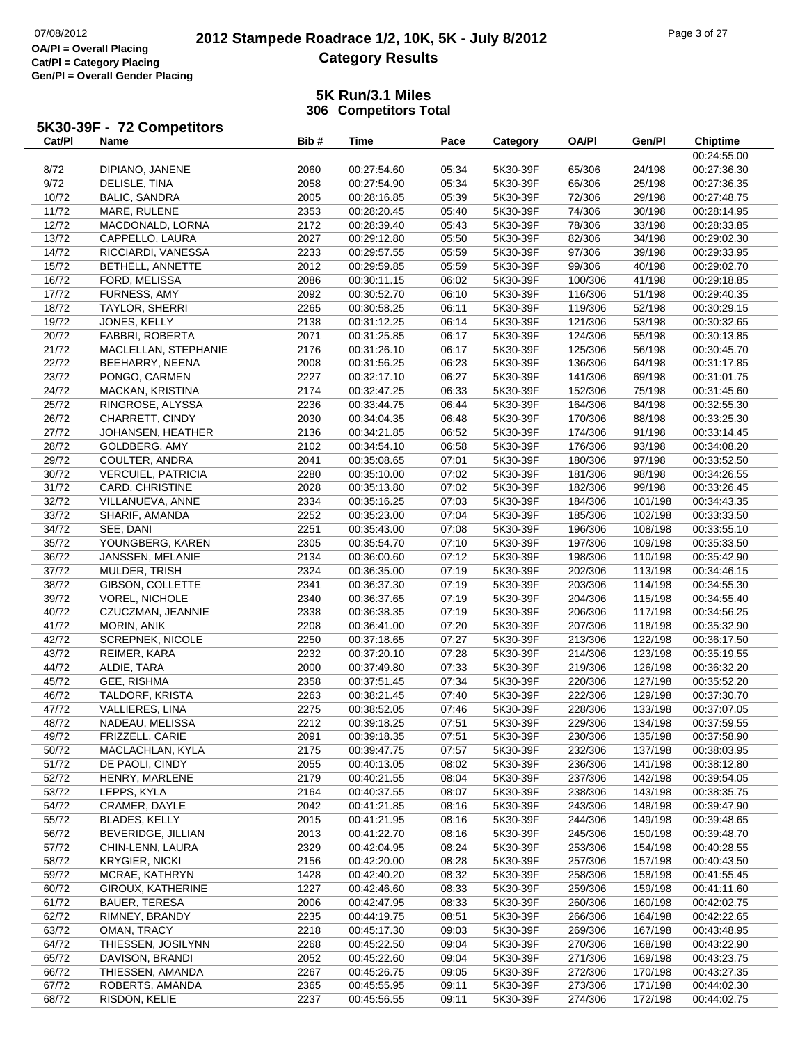## **2012 Stampede Roadrace 1/2, 10K, 5K - July 8/2012** 07/08/2012 Page 3 of 27 **Category Results**

### **5K Run/3.1 Miles306 Competitors Total**

# **5K30-39F - 72 Competitors Cat/Pl**

| Cat/PI | Name                      | Bib# | <b>Time</b> | Pace  | Category | <b>OA/PI</b> | Gen/Pl  | <b>Chiptime</b> |
|--------|---------------------------|------|-------------|-------|----------|--------------|---------|-----------------|
|        |                           |      |             |       |          |              |         | 00:24:55.00     |
| 8/72   | DIPIANO, JANENE           | 2060 | 00:27:54.60 | 05:34 | 5K30-39F | 65/306       | 24/198  | 00:27:36.30     |
| 9/72   | DELISLE, TINA             | 2058 | 00:27:54.90 | 05:34 | 5K30-39F | 66/306       | 25/198  | 00:27:36.35     |
| 10/72  | <b>BALIC, SANDRA</b>      | 2005 | 00:28:16.85 | 05:39 | 5K30-39F | 72/306       | 29/198  | 00:27:48.75     |
| 11/72  | MARE, RULENE              | 2353 | 00:28:20.45 | 05:40 | 5K30-39F | 74/306       | 30/198  | 00:28:14.95     |
| 12/72  | MACDONALD, LORNA          | 2172 | 00:28:39.40 | 05:43 | 5K30-39F | 78/306       | 33/198  | 00:28:33.85     |
| 13/72  | CAPPELLO, LAURA           | 2027 | 00:29:12.80 | 05:50 | 5K30-39F | 82/306       | 34/198  | 00:29:02.30     |
| 14/72  | RICCIARDI, VANESSA        | 2233 | 00:29:57.55 | 05:59 | 5K30-39F | 97/306       | 39/198  | 00:29:33.95     |
| 15/72  | BETHELL, ANNETTE          | 2012 | 00:29:59.85 | 05:59 | 5K30-39F | 99/306       | 40/198  | 00:29:02.70     |
| 16/72  | FORD, MELISSA             | 2086 | 00:30:11.15 | 06:02 | 5K30-39F | 100/306      | 41/198  | 00:29:18.85     |
|        |                           | 2092 |             | 06:10 | 5K30-39F |              |         |                 |
| 17/72  | FURNESS, AMY              |      | 00:30:52.70 |       |          | 116/306      | 51/198  | 00:29:40.35     |
| 18/72  | TAYLOR, SHERRI            | 2265 | 00:30:58.25 | 06:11 | 5K30-39F | 119/306      | 52/198  | 00:30:29.15     |
| 19/72  | JONES, KELLY              | 2138 | 00:31:12.25 | 06:14 | 5K30-39F | 121/306      | 53/198  | 00:30:32.65     |
| 20/72  | FABBRI, ROBERTA           | 2071 | 00:31:25.85 | 06:17 | 5K30-39F | 124/306      | 55/198  | 00:30:13.85     |
| 21/72  | MACLELLAN, STEPHANIE      | 2176 | 00:31:26.10 | 06:17 | 5K30-39F | 125/306      | 56/198  | 00:30:45.70     |
| 22/72  | BEEHARRY, NEENA           | 2008 | 00:31:56.25 | 06:23 | 5K30-39F | 136/306      | 64/198  | 00:31:17.85     |
| 23/72  | PONGO, CARMEN             | 2227 | 00:32:17.10 | 06:27 | 5K30-39F | 141/306      | 69/198  | 00:31:01.75     |
| 24/72  | <b>MACKAN, KRISTINA</b>   | 2174 | 00:32:47.25 | 06:33 | 5K30-39F | 152/306      | 75/198  | 00:31:45.60     |
| 25/72  | RINGROSE, ALYSSA          | 2236 | 00:33:44.75 | 06:44 | 5K30-39F | 164/306      | 84/198  | 00:32:55.30     |
| 26/72  | CHARRETT, CINDY           | 2030 | 00:34:04.35 | 06:48 | 5K30-39F | 170/306      | 88/198  | 00:33:25.30     |
| 27/72  | JOHANSEN, HEATHER         | 2136 | 00:34:21.85 | 06:52 | 5K30-39F | 174/306      | 91/198  | 00:33:14.45     |
| 28/72  | GOLDBERG, AMY             | 2102 | 00:34:54.10 | 06:58 | 5K30-39F | 176/306      | 93/198  | 00:34:08.20     |
| 29/72  | COULTER, ANDRA            | 2041 | 00:35:08.65 | 07:01 | 5K30-39F | 180/306      | 97/198  | 00:33:52.50     |
| 30/72  | <b>VERCUIEL, PATRICIA</b> | 2280 | 00:35:10.00 | 07:02 | 5K30-39F | 181/306      | 98/198  | 00:34:26.55     |
| 31/72  | CARD, CHRISTINE           | 2028 | 00:35:13.80 | 07:02 | 5K30-39F | 182/306      | 99/198  | 00:33:26.45     |
| 32/72  | VILLANUEVA, ANNE          | 2334 | 00:35:16.25 | 07:03 | 5K30-39F | 184/306      | 101/198 | 00:34:43.35     |
| 33/72  | SHARIF, AMANDA            | 2252 | 00:35:23.00 | 07:04 | 5K30-39F | 185/306      | 102/198 | 00:33:33.50     |
| 34/72  | SEE, DANI                 | 2251 | 00:35:43.00 | 07:08 | 5K30-39F | 196/306      | 108/198 | 00:33:55.10     |
| 35/72  | YOUNGBERG, KAREN          | 2305 | 00:35:54.70 | 07:10 | 5K30-39F | 197/306      | 109/198 | 00:35:33.50     |
| 36/72  | JANSSEN, MELANIE          | 2134 | 00:36:00.60 | 07:12 | 5K30-39F | 198/306      | 110/198 | 00:35:42.90     |
|        |                           | 2324 |             | 07:19 | 5K30-39F | 202/306      | 113/198 | 00:34:46.15     |
| 37/72  | MULDER, TRISH             |      | 00:36:35.00 |       |          |              |         |                 |
| 38/72  | GIBSON, COLLETTE          | 2341 | 00:36:37.30 | 07:19 | 5K30-39F | 203/306      | 114/198 | 00:34:55.30     |
| 39/72  | VOREL, NICHOLE            | 2340 | 00:36:37.65 | 07:19 | 5K30-39F | 204/306      | 115/198 | 00:34:55.40     |
| 40/72  | CZUCZMAN, JEANNIE         | 2338 | 00:36:38.35 | 07:19 | 5K30-39F | 206/306      | 117/198 | 00:34:56.25     |
| 41/72  | MORIN, ANIK               | 2208 | 00:36:41.00 | 07:20 | 5K30-39F | 207/306      | 118/198 | 00:35:32.90     |
| 42/72  | <b>SCREPNEK, NICOLE</b>   | 2250 | 00:37:18.65 | 07:27 | 5K30-39F | 213/306      | 122/198 | 00:36:17.50     |
| 43/72  | REIMER, KARA              | 2232 | 00:37:20.10 | 07:28 | 5K30-39F | 214/306      | 123/198 | 00:35:19.55     |
| 44/72  | ALDIE, TARA               | 2000 | 00:37:49.80 | 07:33 | 5K30-39F | 219/306      | 126/198 | 00:36:32.20     |
| 45/72  | GEE, RISHMA               | 2358 | 00:37:51.45 | 07:34 | 5K30-39F | 220/306      | 127/198 | 00:35:52.20     |
| 46/72  | TALDORF, KRISTA           | 2263 | 00:38:21.45 | 07:40 | 5K30-39F | 222/306      | 129/198 | 00:37:30.70     |
| 47/72  | VALLIERES, LINA           | 2275 | 00:38:52.05 | 07:46 | 5K30-39F | 228/306      | 133/198 | 00:37:07.05     |
| 48/72  | NADEAU, MELISSA           | 2212 | 00:39:18.25 | 07:51 | 5K30-39F | 229/306      | 134/198 | 00:37:59.55     |
| 49/72  | FRIZZELL, CARIE           | 2091 | 00:39:18.35 | 07:51 | 5K30-39F | 230/306      | 135/198 | 00:37:58.90     |
| 50/72  | MACLACHLAN, KYLA          | 2175 | 00:39:47.75 | 07:57 | 5K30-39F | 232/306      | 137/198 | 00:38:03.95     |
| 51/72  | DE PAOLI, CINDY           | 2055 | 00:40:13.05 | 08:02 | 5K30-39F | 236/306      | 141/198 | 00:38:12.80     |
| 52/72  | HENRY, MARLENE            | 2179 | 00:40:21.55 | 08:04 | 5K30-39F | 237/306      | 142/198 | 00:39:54.05     |
| 53/72  | LEPPS, KYLA               | 2164 | 00:40:37.55 | 08:07 | 5K30-39F | 238/306      | 143/198 | 00:38:35.75     |
| 54/72  | CRAMER, DAYLE             | 2042 | 00:41:21.85 | 08:16 | 5K30-39F | 243/306      | 148/198 | 00:39:47.90     |
| 55/72  | <b>BLADES, KELLY</b>      | 2015 | 00:41:21.95 | 08:16 | 5K30-39F | 244/306      | 149/198 | 00:39:48.65     |
| 56/72  | BEVERIDGE, JILLIAN        | 2013 | 00:41:22.70 | 08:16 | 5K30-39F | 245/306      | 150/198 | 00:39:48.70     |
| 57/72  | CHIN-LENN, LAURA          | 2329 | 00:42:04.95 | 08:24 | 5K30-39F | 253/306      | 154/198 | 00:40:28.55     |
| 58/72  | <b>KRYGIER, NICKI</b>     | 2156 | 00:42:20.00 | 08:28 | 5K30-39F |              | 157/198 | 00:40:43.50     |
|        |                           |      |             |       |          | 257/306      |         |                 |
| 59/72  | MCRAE, KATHRYN            | 1428 | 00:42:40.20 | 08:32 | 5K30-39F | 258/306      | 158/198 | 00:41:55.45     |
| 60/72  | GIROUX, KATHERINE         | 1227 | 00:42:46.60 | 08:33 | 5K30-39F | 259/306      | 159/198 | 00:41:11.60     |
| 61/72  | BAUER, TERESA             | 2006 | 00:42:47.95 | 08:33 | 5K30-39F | 260/306      | 160/198 | 00:42:02.75     |
| 62/72  | RIMNEY, BRANDY            | 2235 | 00:44:19.75 | 08:51 | 5K30-39F | 266/306      | 164/198 | 00:42:22.65     |
| 63/72  | OMAN, TRACY               | 2218 | 00:45:17.30 | 09:03 | 5K30-39F | 269/306      | 167/198 | 00:43:48.95     |
| 64/72  | THIESSEN, JOSILYNN        | 2268 | 00:45:22.50 | 09:04 | 5K30-39F | 270/306      | 168/198 | 00:43:22.90     |
| 65/72  | DAVISON, BRANDI           | 2052 | 00:45:22.60 | 09:04 | 5K30-39F | 271/306      | 169/198 | 00:43:23.75     |
| 66/72  | THIESSEN, AMANDA          | 2267 | 00:45:26.75 | 09:05 | 5K30-39F | 272/306      | 170/198 | 00:43:27.35     |
| 67/72  | ROBERTS, AMANDA           | 2365 | 00:45:55.95 | 09:11 | 5K30-39F | 273/306      | 171/198 | 00:44:02.30     |
| 68/72  | RISDON, KELIE             | 2237 | 00:45:56.55 | 09:11 | 5K30-39F | 274/306      | 172/198 | 00:44:02.75     |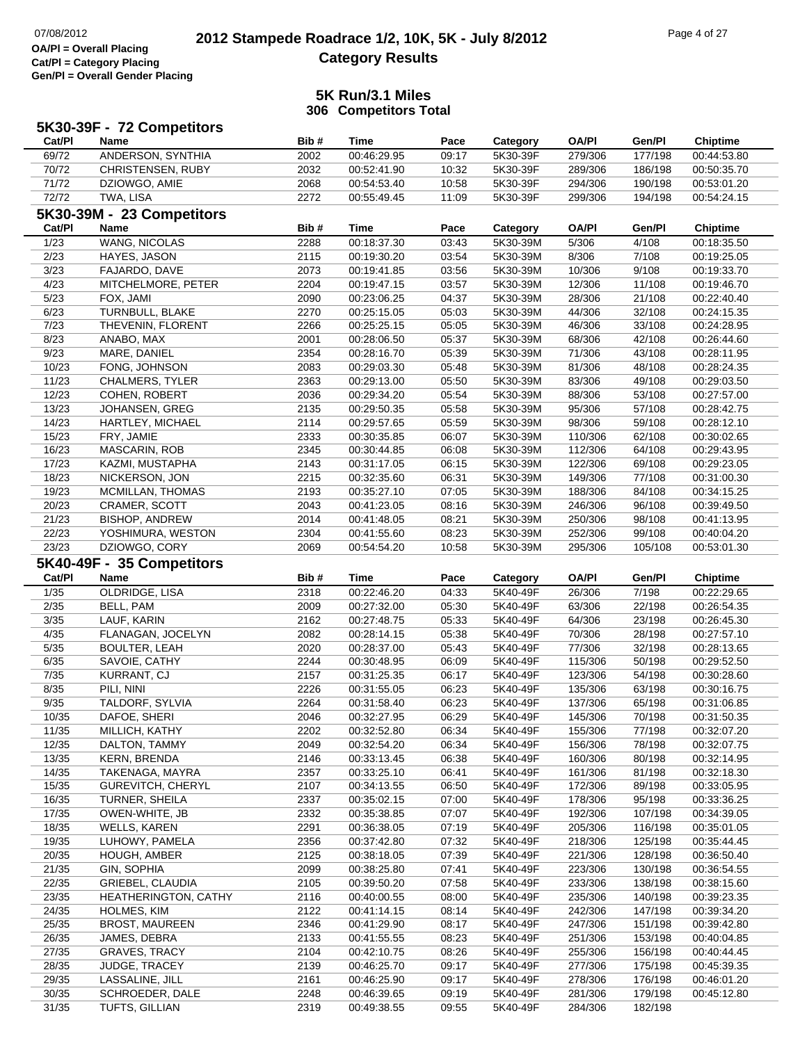# **2012 Stampede Roadrace 1/2, 10K, 5K - July 8/2012** 07/08/2012 Page 4 of 27 **Category Results**

|                | 5K30-39F - 72 Competitors          |              |                            |                |                      |                    |                    |                            |
|----------------|------------------------------------|--------------|----------------------------|----------------|----------------------|--------------------|--------------------|----------------------------|
| Cat/PI         | <b>Name</b>                        | Bib#         | <b>Time</b>                | Pace           | Category             | <b>OA/PI</b>       | Gen/Pl             | <b>Chiptime</b>            |
| 69/72          | ANDERSON, SYNTHIA                  | 2002         | 00:46:29.95                | 09:17          | 5K30-39F             | 279/306            | 177/198            | 00:44:53.80                |
| 70/72          | CHRISTENSEN, RUBY                  | 2032         | 00:52:41.90                | 10:32          | 5K30-39F             | 289/306            | 186/198            | 00:50:35.70                |
| 71/72          | DZIOWGO, AMIE                      | 2068         | 00:54:53.40                | 10:58          | 5K30-39F             | 294/306            | 190/198            | 00:53:01.20                |
| 72/72          | TWA, LISA                          | 2272         | 00:55:49.45                | 11:09          | 5K30-39F             | 299/306            | 194/198            | 00:54:24.15                |
|                | 5K30-39M - 23 Competitors          |              |                            |                |                      |                    |                    |                            |
| Cat/PI         | <b>Name</b>                        | Bib#         | Time                       | Pace           | Category             | <b>OA/PI</b>       | Gen/Pl             | <b>Chiptime</b>            |
| $\frac{1}{23}$ | <b>WANG, NICOLAS</b>               | 2288         | 00:18:37.30                | 03:43          | 5K30-39M             | 5/306              | 4/108              | 00:18:35.50                |
| 2/23           | HAYES, JASON                       | 2115         | 00:19:30.20                | 03:54          | 5K30-39M             | 8/306              | 7/108              | 00:19:25.05                |
| 3/23           | FAJARDO, DAVE                      | 2073         | 00:19:41.85                | 03:56          | 5K30-39M             | 10/306             | 9/108              | 00:19:33.70                |
|                |                                    |              |                            |                |                      |                    |                    |                            |
| 4/23           | MITCHELMORE, PETER                 | 2204<br>2090 | 00:19:47.15                | 03:57          | 5K30-39M             | 12/306             | 11/108             | 00:19:46.70                |
| 5/23           | FOX, JAMI<br>TURNBULL, BLAKE       |              | 00:23:06.25                | 04:37          | 5K30-39M             | 28/306             | 21/108             | 00:22:40.40                |
| 6/23<br>7/23   | THEVENIN, FLORENT                  | 2270<br>2266 | 00:25:15.05<br>00:25:25.15 | 05:03<br>05:05 | 5K30-39M<br>5K30-39M | 44/306<br>46/306   | 32/108<br>33/108   | 00:24:15.35<br>00:24:28.95 |
|                |                                    |              |                            |                |                      |                    |                    |                            |
| 8/23<br>9/23   | ANABO, MAX                         | 2001<br>2354 | 00:28:06.50<br>00:28:16.70 | 05:37          | 5K30-39M             | 68/306             | 42/108             | 00:26:44.60                |
| 10/23          | MARE, DANIEL                       |              |                            | 05:39          | 5K30-39M             | 71/306             | 43/108             | 00:28:11.95                |
|                | FONG, JOHNSON                      | 2083         | 00:29:03.30                | 05:48          | 5K30-39M             | 81/306             | 48/108             | 00:28:24.35                |
| 11/23<br>12/23 | <b>CHALMERS, TYLER</b>             | 2363         | 00:29:13.00                | 05:50          | 5K30-39M             | 83/306             | 49/108             | 00:29:03.50<br>00:27:57.00 |
| 13/23          | COHEN, ROBERT                      | 2036         | 00:29:34.20                | 05:54          | 5K30-39M             | 88/306             | 53/108             |                            |
| 14/23          | JOHANSEN, GREG<br>HARTLEY, MICHAEL | 2135         | 00:29:50.35                | 05:58          | 5K30-39M             | 95/306             | 57/108             | 00:28:42.75                |
|                |                                    | 2114         | 00:29:57.65                | 05:59          | 5K30-39M             | 98/306             | 59/108             | 00:28:12.10                |
| 15/23          | FRY, JAMIE                         | 2333         | 00:30:35.85<br>00:30:44.85 | 06:07          | 5K30-39M             | 110/306            | 62/108             | 00:30:02.65<br>00:29:43.95 |
| 16/23<br>17/23 | MASCARIN, ROB                      | 2345<br>2143 |                            | 06:08          | 5K30-39M             | 112/306            | 64/108             |                            |
| 18/23          | KAZMI, MUSTAPHA                    |              | 00:31:17.05                | 06:15          | 5K30-39M             | 122/306            | 69/108             | 00:29:23.05<br>00:31:00.30 |
|                | NICKERSON, JON                     | 2215         | 00:32:35.60                | 06:31          | 5K30-39M             | 149/306            | 77/108             |                            |
| 19/23          | MCMILLAN, THOMAS                   | 2193         | 00:35:27.10                | 07:05          | 5K30-39M             | 188/306            | 84/108             | 00:34:15.25                |
| 20/23          | CRAMER, SCOTT                      | 2043         | 00:41:23.05                | 08:16          | 5K30-39M             | 246/306            | 96/108             | 00:39:49.50                |
| 21/23          | <b>BISHOP, ANDREW</b>              | 2014         | 00:41:48.05                | 08:21          | 5K30-39M             | 250/306            | 98/108             | 00:41:13.95                |
| 22/23<br>23/23 | YOSHIMURA, WESTON                  | 2304         | 00:41:55.60                | 08:23          | 5K30-39M             | 252/306            | 99/108<br>105/108  | 00:40:04.20                |
|                | DZIOWGO, CORY                      | 2069         | 00:54:54.20                | 10:58          | 5K30-39M             | 295/306            |                    | 00:53:01.30                |
|                | 5K40-49F - 35 Competitors          |              |                            |                |                      |                    |                    |                            |
|                |                                    |              |                            |                |                      |                    |                    |                            |
| Cat/PI         | <b>Name</b>                        | Bib#         | <b>Time</b>                | Pace           | Category             | <b>OA/PI</b>       | Gen/Pl             | <b>Chiptime</b>            |
| 1/35           | OLDRIDGE, LISA                     | 2318         | 00:22:46.20                | 04:33          | 5K40-49F             | 26/306             | 7/198              | 00:22:29.65                |
| 2/35           | BELL, PAM                          | 2009         | 00:27:32.00                | 05:30          | 5K40-49F             | 63/306             | 22/198             | 00:26:54.35                |
| 3/35           | LAUF, KARIN                        | 2162         | 00:27:48.75                | 05:33          | 5K40-49F             | 64/306             | 23/198             | 00:26:45.30                |
| 4/35           | FLANAGAN, JOCELYN                  | 2082         | 00:28:14.15                | 05:38          | 5K40-49F             | 70/306             | 28/198             | 00:27:57.10                |
| 5/35           | <b>BOULTER, LEAH</b>               | 2020         | 00:28:37.00                | 05:43          | 5K40-49F             | 77/306             | 32/198             | 00:28:13.65                |
| 6/35           | SAVOIE, CATHY                      | 2244         | 00:30:48.95                | 06:09          | 5K40-49F             | 115/306            | 50/198             | 00:29:52.50                |
| 7/35           | KURRANT, CJ                        | 2157         | 00:31:25.35                | 06:17          | 5K40-49F             | 123/306            | 54/198             | 00:30:28.60                |
| 8/35           | PILI. NINI                         | 2226         | 00:31:55.05                | 06:23          | 5K40-49F             | 135/306            | 63/198             | 00:30:16.75                |
| 9/35           | TALDORF, SYLVIA                    | 2264         | 00:31:58.40                | 06:23          | 5K40-49F             | 137/306            | 65/198             | 00:31:06.85                |
| 10/35          | DAFOE, SHERI                       | 2046         | 00:32:27.95                | 06:29          | 5K40-49F             | 145/306            | 70/198             | 00:31:50.35                |
| 11/35          | MILLICH, KATHY                     | 2202         | 00:32:52.80                | 06:34          | 5K40-49F             | 155/306            | 77/198             | 00:32:07.20                |
| 12/35          | DALTON, TAMMY                      | 2049         | 00:32:54.20                | 06:34          | 5K40-49F             | 156/306            | 78/198             | 00:32:07.75                |
| 13/35          | KERN, BRENDA                       | 2146         | 00:33:13.45                | 06:38          | 5K40-49F             | 160/306            | 80/198             | 00:32:14.95                |
| 14/35          | TAKENAGA, MAYRA                    | 2357         | 00:33:25.10                | 06:41          | 5K40-49F             | 161/306            | 81/198             | 00:32:18.30                |
| 15/35          | <b>GUREVITCH, CHERYL</b>           | 2107         | 00:34:13.55                | 06:50          | 5K40-49F             | 172/306            | 89/198             | 00:33:05.95                |
| 16/35          | TURNER, SHEILA                     | 2337         | 00:35:02.15                | 07:00          | 5K40-49F             | 178/306            | 95/198             | 00:33:36.25                |
| 17/35          | OWEN-WHITE, JB                     | 2332         | 00:35:38.85                | 07:07          | 5K40-49F             | 192/306            | 107/198            | 00:34:39.05                |
| 18/35          | <b>WELLS, KAREN</b>                | 2291         | 00:36:38.05                | 07:19          | 5K40-49F             | 205/306            | 116/198            | 00:35:01.05                |
| 19/35          | LUHOWY, PAMELA                     | 2356         | 00:37:42.80                | 07:32          | 5K40-49F             | 218/306            | 125/198            | 00:35:44.45                |
| 20/35          | HOUGH, AMBER                       | 2125         | 00:38:18.05                | 07:39          | 5K40-49F             | 221/306            | 128/198            | 00:36:50.40                |
| 21/35          | GIN, SOPHIA                        | 2099         | 00:38:25.80                | 07:41          | 5K40-49F             | 223/306            | 130/198            | 00:36:54.55                |
| 22/35          | <b>GRIEBEL, CLAUDIA</b>            | 2105         | 00:39:50.20                | 07:58          | 5K40-49F             | 233/306            | 138/198            | 00:38:15.60                |
| 23/35          | HEATHERINGTON, CATHY               | 2116         | 00:40:00.55                | 08:00          | 5K40-49F             | 235/306            | 140/198            | 00:39:23.35                |
| 24/35          | HOLMES, KIM                        | 2122         | 00:41:14.15                | 08:14          | 5K40-49F             | 242/306            | 147/198            | 00:39:34.20                |
| 25/35          | <b>BROST, MAUREEN</b>              | 2346         | 00:41:29.90                | 08:17          | 5K40-49F             | 247/306            | 151/198            | 00:39:42.80                |
| 26/35          | JAMES, DEBRA                       | 2133         | 00:41:55.55                | 08:23          | 5K40-49F             | 251/306            | 153/198            | 00:40:04.85                |
| 27/35          | <b>GRAVES, TRACY</b>               | 2104         | 00:42:10.75                | 08:26          | 5K40-49F             | 255/306            | 156/198            | 00:40:44.45                |
| 28/35          | JUDGE, TRACEY                      | 2139         | 00:46:25.70                | 09:17          | 5K40-49F             | 277/306            | 175/198            | 00:45:39.35                |
| 29/35          | LASSALINE, JILL                    | 2161         | 00:46:25.90                | 09:17          | 5K40-49F             | 278/306            | 176/198            | 00:46:01.20                |
| 30/35<br>31/35 | SCHROEDER, DALE<br>TUFTS, GILLIAN  | 2248<br>2319 | 00:46:39.65<br>00:49:38.55 | 09:19<br>09:55 | 5K40-49F<br>5K40-49F | 281/306<br>284/306 | 179/198<br>182/198 | 00:45:12.80                |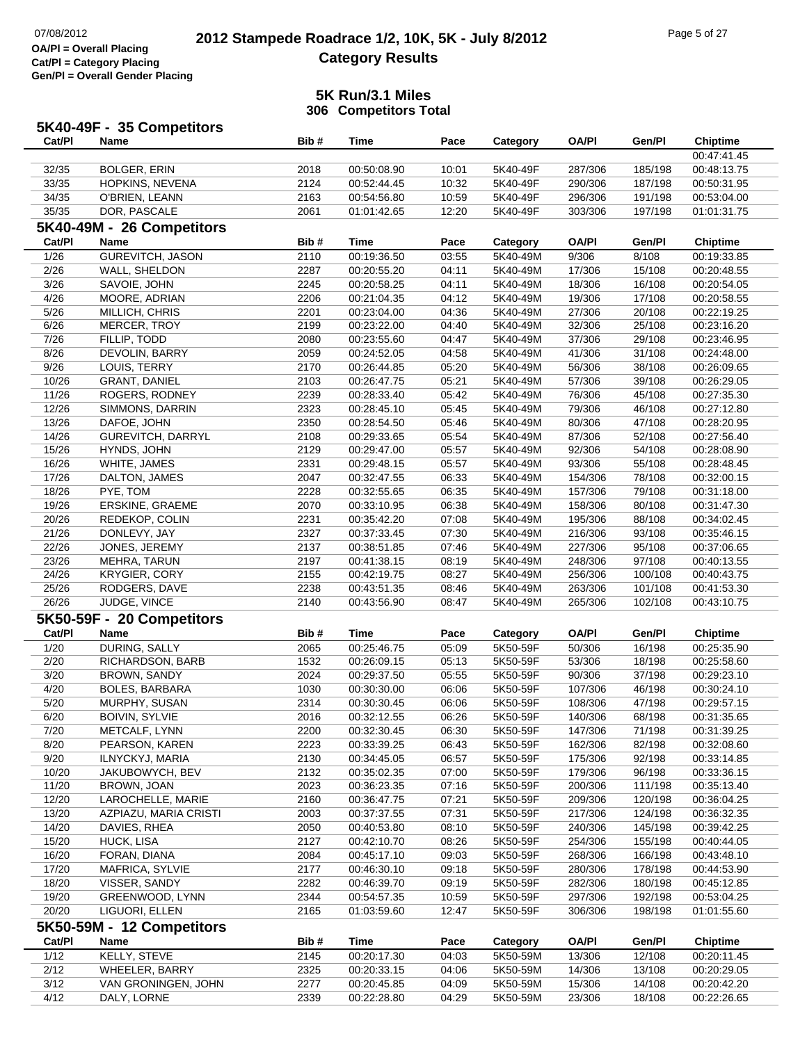|                | 5K40-49F - 35 Competitors |      |             |       |          |              |                  |                 |
|----------------|---------------------------|------|-------------|-------|----------|--------------|------------------|-----------------|
| Cat/PI         | Name                      | Bib# | <b>Time</b> | Pace  | Category | <b>OA/PI</b> | Gen/Pl           | <b>Chiptime</b> |
|                |                           |      |             |       |          |              |                  | 00:47:41.45     |
| 32/35          | <b>BOLGER, ERIN</b>       | 2018 | 00:50:08.90 | 10:01 | 5K40-49F | 287/306      | 185/198          | 00:48:13.75     |
| 33/35          | HOPKINS, NEVENA           | 2124 | 00:52:44.45 | 10:32 | 5K40-49F | 290/306      | 187/198          | 00:50:31.95     |
| 34/35          | O'BRIEN, LEANN            | 2163 | 00:54:56.80 | 10:59 | 5K40-49F | 296/306      | 191/198          | 00:53:04.00     |
| 35/35          | DOR, PASCALE              | 2061 | 01:01:42.65 | 12:20 | 5K40-49F | 303/306      | 197/198          | 01:01:31.75     |
|                | 5K40-49M - 26 Competitors |      |             |       |          |              |                  |                 |
| Cat/PI         | Name                      | Bib# | Time        | Pace  | Category | <b>OA/PI</b> | Gen/Pl           | <b>Chiptime</b> |
| 1/26           | <b>GUREVITCH, JASON</b>   | 2110 | 00:19:36.50 | 03:55 | 5K40-49M | 9/306        | 8/108            | 00:19:33.85     |
| 2/26           | WALL, SHELDON             | 2287 | 00:20:55.20 | 04:11 | 5K40-49M | 17/306       | 15/108           | 00:20:48.55     |
| 3/26           | SAVOIE, JOHN              | 2245 | 00:20:58.25 | 04:11 | 5K40-49M | 18/306       | 16/108           | 00:20:54.05     |
| 4/26           |                           |      | 00:21:04.35 |       | 5K40-49M | 19/306       |                  |                 |
|                | MOORE, ADRIAN             | 2206 |             | 04:12 |          |              | 17/108           | 00:20:58.55     |
| 5/26           | MILLICH, CHRIS            | 2201 | 00:23:04.00 | 04:36 | 5K40-49M | 27/306       | 20/108           | 00:22:19.25     |
| 6/26           | MERCER, TROY              | 2199 | 00:23:22.00 | 04:40 | 5K40-49M | 32/306       | 25/108           | 00:23:16.20     |
| 7/26           | FILLIP, TODD              | 2080 | 00:23:55.60 | 04:47 | 5K40-49M | 37/306       | 29/108           | 00:23:46.95     |
| 8/26           | DEVOLIN, BARRY            | 2059 | 00:24:52.05 | 04:58 | 5K40-49M | 41/306       | 31/108           | 00:24:48.00     |
| 9/26           | LOUIS, TERRY              | 2170 | 00:26:44.85 | 05:20 | 5K40-49M | 56/306       | 38/108           | 00:26:09.65     |
| 10/26          | <b>GRANT, DANIEL</b>      | 2103 | 00:26:47.75 | 05:21 | 5K40-49M | 57/306       | 39/108           | 00:26:29.05     |
| 11/26          | ROGERS, RODNEY            | 2239 | 00:28:33.40 | 05:42 | 5K40-49M | 76/306       | 45/108           | 00:27:35.30     |
| 12/26          | SIMMONS, DARRIN           | 2323 | 00:28:45.10 | 05:45 | 5K40-49M | 79/306       | 46/108           | 00:27:12.80     |
| 13/26          | DAFOE, JOHN               | 2350 | 00:28:54.50 | 05:46 | 5K40-49M | 80/306       | 47/108           | 00:28:20.95     |
| 14/26          | GUREVITCH, DARRYL         | 2108 | 00:29:33.65 | 05:54 | 5K40-49M | 87/306       | 52/108           | 00:27:56.40     |
| 15/26          | HYNDS, JOHN               | 2129 | 00:29:47.00 | 05:57 | 5K40-49M | 92/306       | 54/108           | 00:28:08.90     |
| 16/26          | WHITE, JAMES              | 2331 | 00:29:48.15 | 05:57 | 5K40-49M | 93/306       | 55/108           | 00:28:48.45     |
| 17/26          | DALTON, JAMES             | 2047 | 00:32:47.55 | 06:33 | 5K40-49M | 154/306      | 78/108           | 00:32:00.15     |
| 18/26          | PYE, TOM                  | 2228 | 00:32:55.65 | 06:35 | 5K40-49M | 157/306      | 79/108           | 00:31:18.00     |
| 19/26          | ERSKINE, GRAEME           | 2070 | 00:33:10.95 | 06:38 | 5K40-49M | 158/306      | 80/108           | 00:31:47.30     |
| 20/26          | REDEKOP, COLIN            | 2231 | 00:35:42.20 | 07:08 | 5K40-49M | 195/306      | 88/108           | 00:34:02.45     |
| 21/26          | DONLEVY, JAY              | 2327 | 00:37:33.45 | 07:30 | 5K40-49M | 216/306      | 93/108           | 00:35:46.15     |
| 22/26          | JONES, JEREMY             | 2137 | 00:38:51.85 | 07:46 | 5K40-49M | 227/306      | 95/108           | 00:37:06.65     |
| 23/26          | MEHRA, TARUN              | 2197 | 00:41:38.15 | 08:19 | 5K40-49M | 248/306      | 97/108           | 00:40:13.55     |
| 24/26          | <b>KRYGIER, CORY</b>      | 2155 | 00:42:19.75 | 08:27 | 5K40-49M | 256/306      | 100/108          | 00:40:43.75     |
| 25/26          | RODGERS, DAVE             | 2238 | 00:43:51.35 | 08:46 | 5K40-49M | 263/306      | 101/108          | 00:41:53.30     |
| 26/26          | JUDGE, VINCE              | 2140 | 00:43:56.90 | 08:47 | 5K40-49M | 265/306      | 102/108          | 00:43:10.75     |
|                | 5K50-59F - 20 Competitors |      |             |       |          |              |                  |                 |
| Cat/PI         | <b>Name</b>               | Bib# | Time        | Pace  | Category | <b>OA/PI</b> | Gen/Pl           | <b>Chiptime</b> |
| 1/20           | <b>DURING, SALLY</b>      | 2065 | 00:25:46.75 | 05:09 | 5K50-59F | 50/306       | 16/198           | 00:25:35.90     |
| 2/20           | RICHARDSON, BARB          | 1532 | 00:26:09.15 | 05:13 | 5K50-59F | 53/306       | 18/198           | 00:25:58.60     |
| 3/20           |                           |      | 00:29:37.50 |       |          |              |                  |                 |
|                | BROWN, SANDY              | 2024 | 00:30:30.00 | 05:55 | 5K50-59F | 90/306       | 37/198<br>46/198 | 00:29:23.10     |
| 4/20           | <b>BOLES, BARBARA</b>     | 1030 |             | 06:06 | 5K50-59F | 107/306      |                  | 00:30:24.10     |
| 5/20           | MURPHY, SUSAN             | 2314 | 00:30:30.45 | 06:06 | 5K50-59F | 108/306      | 47/198           | 00:29:57.15     |
| 6/20           | <b>BOIVIN, SYLVIE</b>     | 2016 | 00:32:12.55 | 06:26 | 5K50-59F | 140/306      | 68/198           | 00:31:35.65     |
| 7/20           | METCALF, LYNN             | 2200 | 00:32:30.45 | 06:30 | 5K50-59F | 147/306      | 71/198           | 00:31:39.25     |
| 8/20           | PEARSON, KAREN            | 2223 | 00:33:39.25 | 06:43 | 5K50-59F | 162/306      | 82/198           | 00:32:08.60     |
| 9/20           | ILNYCKYJ, MARIA           | 2130 | 00:34:45.05 | 06:57 | 5K50-59F | 175/306      | 92/198           | 00:33:14.85     |
| 10/20          | JAKUBOWYCH, BEV           | 2132 | 00:35:02.35 | 07:00 | 5K50-59F | 179/306      | 96/198           | 00:33:36.15     |
| 11/20          | BROWN, JOAN               | 2023 | 00:36:23.35 | 07:16 | 5K50-59F | 200/306      | 111/198          | 00:35:13.40     |
| 12/20          | LAROCHELLE, MARIE         | 2160 | 00:36:47.75 | 07:21 | 5K50-59F | 209/306      | 120/198          | 00:36:04.25     |
| 13/20          | AZPIAZU, MARIA CRISTI     | 2003 | 00:37:37.55 | 07:31 | 5K50-59F | 217/306      | 124/198          | 00:36:32.35     |
| 14/20          | DAVIES, RHEA              | 2050 | 00:40:53.80 | 08:10 | 5K50-59F | 240/306      | 145/198          | 00:39:42.25     |
| 15/20          | HUCK, LISA                | 2127 | 00:42:10.70 | 08:26 | 5K50-59F | 254/306      | 155/198          | 00:40:44.05     |
| 16/20          | FORAN, DIANA              | 2084 | 00:45:17.10 | 09:03 | 5K50-59F | 268/306      | 166/198          | 00:43:48.10     |
| 17/20          | MAFRICA, SYLVIE           | 2177 | 00:46:30.10 | 09:18 | 5K50-59F | 280/306      | 178/198          | 00:44:53.90     |
| 18/20          | VISSER, SANDY             | 2282 | 00:46:39.70 | 09:19 | 5K50-59F | 282/306      | 180/198          | 00:45:12.85     |
| 19/20          | GREENWOOD, LYNN           | 2344 | 00:54:57.35 | 10:59 | 5K50-59F | 297/306      | 192/198          | 00:53:04.25     |
| 20/20          | LIGUORI, ELLEN            | 2165 | 01:03:59.60 | 12:47 | 5K50-59F | 306/306      | 198/198          | 01:01:55.60     |
|                | 5K50-59M - 12 Competitors |      |             |       |          |              |                  |                 |
| Cat/PI         | Name                      | Bib# | <b>Time</b> | Pace  | Category | <b>OA/PI</b> | Gen/Pl           | <b>Chiptime</b> |
| 1/12           | <b>KELLY, STEVE</b>       | 2145 | 00:20:17.30 | 04:03 | 5K50-59M | 13/306       | 12/108           | 00:20:11.45     |
| 2/12           | WHEELER, BARRY            | 2325 | 00:20:33.15 | 04:06 | 5K50-59M | 14/306       | 13/108           | 00:20:29.05     |
| $\frac{3}{12}$ | VAN GRONINGEN, JOHN       | 2277 | 00:20:45.85 | 04:09 | 5K50-59M | 15/306       | 14/108           | 00:20:42.20     |
| 4/12           | DALY, LORNE               | 2339 | 00:22:28.80 | 04:29 | 5K50-59M | 23/306       | 18/108           | 00:22:26.65     |
|                |                           |      |             |       |          |              |                  |                 |